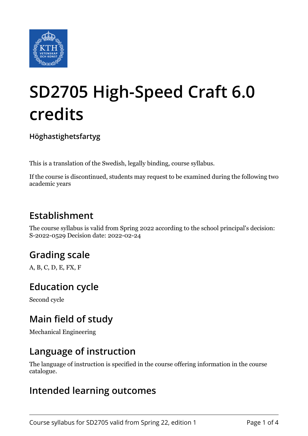

# **SD2705 High-Speed Craft 6.0 credits**

**Höghastighetsfartyg**

This is a translation of the Swedish, legally binding, course syllabus.

If the course is discontinued, students may request to be examined during the following two academic years

## **Establishment**

The course syllabus is valid from Spring 2022 according to the school principal's decision: S-2022-0529 Decision date: 2022-02-24

# **Grading scale**

A, B, C, D, E, FX, F

#### **Education cycle**

Second cycle

## **Main field of study**

Mechanical Engineering

#### **Language of instruction**

The language of instruction is specified in the course offering information in the course catalogue.

#### **Intended learning outcomes**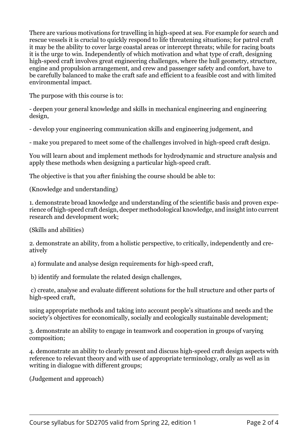There are various motivations for travelling in high-speed at sea. For example for search and rescue vessels it is crucial to quickly respond to life threatening situations; for patrol craft it may be the ability to cover large coastal areas or intercept threats; while for racing boats it is the urge to win. Independently of which motivation and what type of craft, designing high-speed craft involves great engineering challenges, where the hull geometry, structure, engine and propulsion arrangement, and crew and passenger safety and comfort, have to be carefully balanced to make the craft safe and efficient to a feasible cost and with limited environmental impact.

The purpose with this course is to:

- deepen your general knowledge and skills in mechanical engineering and engineering design,

- develop your engineering communication skills and engineering judgement, and

- make you prepared to meet some of the challenges involved in high-speed craft design.

You will learn about and implement methods for hydrodynamic and structure analysis and apply these methods when designing a particular high-speed craft.

The objective is that you after finishing the course should be able to:

(Knowledge and understanding)

1. demonstrate broad knowledge and understanding of the scientific basis and proven experience of high-speed craft design, deeper methodological knowledge, and insight into current research and development work;

(Skills and abilities)

2. demonstrate an ability, from a holistic perspective, to critically, independently and creatively

a) formulate and analyse design requirements for high-speed craft,

b) identify and formulate the related design challenges,

c) create, analyse and evaluate different solutions for the hull structure and other parts of high-speed craft,

using appropriate methods and taking into account people's situations and needs and the society's objectives for economically, socially and ecologically sustainable development;

3. demonstrate an ability to engage in teamwork and cooperation in groups of varying composition;

4. demonstrate an ability to clearly present and discuss high-speed craft design aspects with reference to relevant theory and with use of appropriate terminology, orally as well as in writing in dialogue with different groups;

(Judgement and approach)